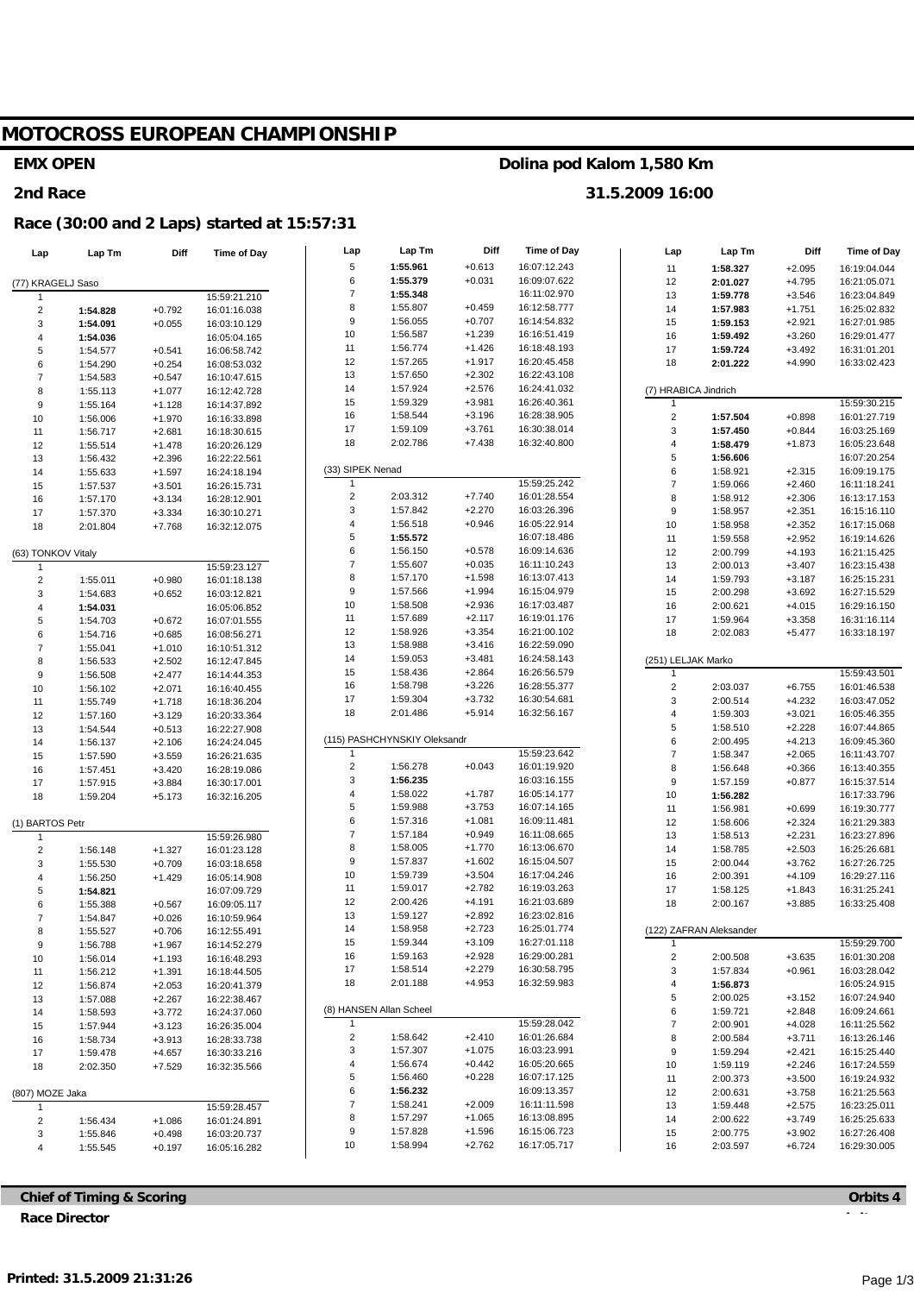# **MOTOCROSS EUROPEAN CHAMPIONSHIP**

#### **EMX OPEN**

#### **2nd Race**

#### **Race (30:00 and 2 Laps) started at 15:57:31**

| Lap                            | Lap Tm               | Diff                 | Time of Day                  | Lap                          | Lap Tm                       | Diff                 | <b>Time of Day</b>           | Lap                     | Lap Tm                  | Diff                 | <b>Time of Day</b>           |
|--------------------------------|----------------------|----------------------|------------------------------|------------------------------|------------------------------|----------------------|------------------------------|-------------------------|-------------------------|----------------------|------------------------------|
|                                |                      |                      |                              | 5                            | 1:55.961                     | $+0.613$             | 16:07:12.243                 | 11                      | 1:58.327                | $+2.095$             | 16:19:04.044                 |
| (77) KRAGELJ Saso              |                      |                      |                              | 6                            | 1:55.379                     | $+0.031$             | 16:09:07.622                 | 12                      | 2:01.027                | $+4.795$             | 16:21:05.071                 |
|                                |                      |                      | 15:59:21.210                 | $\overline{7}$               | 1:55.348                     |                      | 16:11:02.970                 | 13                      | 1:59.778                | $+3.546$             | 16:23:04.849                 |
| $\overline{\mathbf{c}}$        | 1:54.828             | $+0.792$             | 16:01:16.038                 | 8                            | 1:55.807                     | $+0.459$             | 16:12:58.777                 | 14                      | 1:57.983                | $+1.751$             | 16:25:02.832                 |
| 3                              | 1:54.091             | $+0.055$             | 16:03:10.129                 | 9                            | 1:56.055                     | $+0.707$             | 16:14:54.832                 | 15                      | 1:59.153                | $+2.921$             | 16:27:01.985                 |
| 4                              | 1:54.036             |                      | 16:05:04.165                 | 10                           | 1:56.587                     | $+1.239$             | 16:16:51.419                 | 16                      | 1:59.492                | $+3.260$             | 16:29:01.477                 |
| 5                              | 1:54.577             | $+0.541$             | 16:06:58.742                 | 11                           | 1:56.774                     | $+1.426$             | 16:18:48.193                 | 17                      | 1:59.724                | $+3.492$             | 16:31:01.201                 |
| 6                              | 1:54.290             | $+0.254$             | 16:08:53.032                 | 12                           | 1:57.265                     | $+1.917$             | 16:20:45.458                 | 18                      | 2:01.222                | $+4.990$             | 16:33:02.423                 |
| 7                              | 1:54.583             | $+0.547$             | 16:10:47.615                 | 13                           | 1:57.650                     | $+2.302$             | 16:22:43.108                 |                         |                         |                      |                              |
| 8                              | 1:55.113             | $+1.077$             | 16:12:42.728                 | 14                           | 1:57.924                     | $+2.576$             | 16:24:41.032                 |                         | (7) HRABICA Jindrich    |                      |                              |
| 9                              | 1:55.164             | $+1.128$             | 16:14:37.892                 | 15                           | 1:59.329                     | $+3.981$             | 16:26:40.361                 | 1                       |                         |                      | 15:59:30.215                 |
| 10                             | 1:56.006             | $+1.970$             | 16:16:33.898                 | 16                           | 1:58.544                     | $+3.196$             | 16:28:38.905                 | $\overline{\mathbf{c}}$ | 1:57.504                | $+0.898$             | 16:01:27.719                 |
| 11                             | 1:56.717             | $+2.681$             | 16:18:30.615                 | 17                           | 1:59.109                     | $+3.761$             | 16:30:38.014                 | 3                       | 1:57.450                | $+0.844$             | 16:03:25.169                 |
| 12                             | 1:55.514             | $+1.478$             | 16:20:26.129                 | 18                           | 2:02.786                     | $+7.438$             | 16:32:40.800                 | $\overline{\mathbf{4}}$ | 1:58.479                | $+1.873$             | 16:05:23.648                 |
| 13                             | 1:56.432             | $+2.396$             | 16:22:22.561                 |                              |                              |                      |                              | $\sqrt{5}$              | 1:56.606                |                      | 16:07:20.254                 |
| 14                             | 1:55.633             | $+1.597$             | 16:24:18.194                 | (33) SIPEK Nenad             |                              |                      |                              | 6                       | 1:58.921                | $+2.315$             | 16:09:19.175                 |
| 15                             | 1:57.537             | $+3.501$             | 16:26:15.731                 | 1<br>$\overline{\mathbf{c}}$ |                              |                      | 15:59:25.242                 | $\overline{7}$          | 1:59.066                | $+2.460$             | 16:11:18.241                 |
| 16                             | 1:57.170             | $+3.134$             | 16:28:12.901                 | 3                            | 2:03.312<br>1:57.842         | $+7.740$<br>$+2.270$ | 16:01:28.554<br>16:03:26.396 | 8                       | 1:58.912                | $+2.306$             | 16:13:17.153                 |
| 17                             | 1:57.370             | $+3.334$             | 16:30:10.271                 | 4                            | 1:56.518                     | $+0.946$             | 16:05:22.914                 | $\boldsymbol{9}$<br>10  | 1:58.957                | $+2.351$             | 16:15:16.110                 |
| 18                             | 2:01.804             | $+7.768$             | 16:32:12.075                 | 5                            | 1:55.572                     |                      | 16:07:18.486                 |                         | 1:58.958                | $+2.352$             | 16:17:15.068                 |
|                                |                      |                      |                              | 6                            | 1:56.150                     | $+0.578$             | 16:09:14.636                 | 11<br>12                | 1:59.558<br>2:00.799    | $+2.952$<br>$+4.193$ | 16:19:14.626<br>16:21:15.425 |
| (63) TONKOV Vitaly             |                      |                      |                              | $\overline{\mathbf{7}}$      | 1:55.607                     | $+0.035$             | 16:11:10.243                 | 13                      | 2:00.013                | $+3.407$             | 16:23:15.438                 |
| $\mathbf{1}$<br>$\overline{c}$ |                      |                      | 15:59:23.127                 | 8                            | 1:57.170                     | $+1.598$             | 16:13:07.413                 | 14                      | 1:59.793                | $+3.187$             | 16:25:15.231                 |
|                                | 1:55.011             | $+0.980$             | 16:01:18.138<br>16:03:12.821 | 9                            | 1:57.566                     | $+1.994$             | 16:15:04.979                 | 15                      | 2:00.298                | $+3.692$             | 16:27:15.529                 |
| 3<br>4                         | 1:54.683             | $+0.652$             | 16:05:06.852                 | 10                           | 1:58.508                     | $+2.936$             | 16:17:03.487                 | 16                      | 2:00.621                | $+4.015$             | 16:29:16.150                 |
| 5                              | 1:54.031<br>1:54.703 | $+0.672$             | 16:07:01.555                 | 11                           | 1:57.689                     | $+2.117$             | 16:19:01.176                 | 17                      | 1:59.964                | $+3.358$             | 16:31:16.114                 |
| 6                              | 1:54.716             | $+0.685$             | 16:08:56.271                 | 12                           | 1:58.926                     | $+3.354$             | 16:21:00.102                 | 18                      | 2:02.083                | $+5.477$             | 16:33:18.197                 |
| $\overline{7}$                 | 1:55.041             | $+1.010$             | 16:10:51.312                 | 13                           | 1:58.988                     | $+3.416$             | 16:22:59.090                 |                         |                         |                      |                              |
| 8                              | 1:56.533             | $+2.502$             | 16:12:47.845                 | 14                           | 1:59.053                     | $+3.481$             | 16:24:58.143                 |                         | (251) LELJAK Marko      |                      |                              |
| 9                              | 1:56.508             | $+2.477$             | 16:14:44.353                 | 15                           | 1:58.436                     | $+2.864$             | 16:26:56.579                 | $\mathbf{1}$            |                         |                      | 15:59:43.501                 |
| 10                             | 1:56.102             | $+2.071$             | 16:16:40.455                 | 16                           | 1:58.798                     | $+3.226$             | 16:28:55.377                 | $\mathbf 2$             | 2:03.037                | $+6.755$             | 16:01:46.538                 |
| 11                             | 1:55.749             | $+1.718$             | 16:18:36.204                 | 17                           | 1:59.304                     | $+3.732$             | 16:30:54.681                 | 3                       | 2:00.514                | $+4.232$             | 16:03:47.052                 |
| 12                             | 1:57.160             | $+3.129$             | 16:20:33.364                 | 18                           | 2:01.486                     | $+5.914$             | 16:32:56.167                 | 4                       | 1:59.303                | $+3.021$             | 16:05:46.355                 |
| 13                             | 1:54.544             | $+0.513$             | 16:22:27.908                 |                              |                              |                      |                              | 5                       | 1:58.510                | $+2.228$             | 16:07:44.865                 |
| 14                             | 1:56.137             | $+2.106$             | 16:24:24.045                 |                              | (115) PASHCHYNSKIY Oleksandr |                      |                              | 6                       | 2:00.495                | $+4.213$             | 16:09:45.360                 |
| 15                             | 1:57.590             | $+3.559$             | 16:26:21.635                 | 1                            |                              |                      | 15:59:23.642                 | $\overline{7}$          | 1:58.347                | $+2.065$             | 16:11:43.707                 |
| 16                             | 1:57.451             | $+3.420$             | 16:28:19.086                 | $\overline{\mathbf{c}}$      | 1:56.278                     | $+0.043$             | 16:01:19.920                 | 8                       | 1:56.648                | $+0.366$             | 16:13:40.355                 |
| 17                             | 1:57.915             | $+3.884$             | 16:30:17.001                 | 3                            | 1:56.235                     |                      | 16:03:16.155                 | $\boldsymbol{9}$        | 1:57.159                | $+0.877$             | 16:15:37.514                 |
| 18                             | 1:59.204             | $+5.173$             | 16:32:16.205                 | 4                            | 1:58.022                     | $+1.787$             | 16:05:14.177                 | 10                      | 1:56.282                |                      | 16:17:33.796                 |
|                                |                      |                      |                              | 5                            | 1:59.988                     | $+3.753$             | 16:07:14.165                 | 11                      | 1:56.981                | $+0.699$             | 16:19:30.777                 |
| (1) BARTOS Petr                |                      |                      |                              | 6                            | 1:57.316                     | $+1.081$             | 16:09:11.481                 | 12                      | 1:58.606                | $+2.324$             | 16:21:29.383                 |
| 1                              |                      |                      | 15:59:26.980                 | $\overline{\mathbf{7}}$      | 1:57.184                     | $+0.949$             | 16:11:08.665                 | 13                      | 1:58.513                | $+2.231$             | 16:23:27.896                 |
| $\overline{\mathbf{c}}$        | 1:56.148             | $+1.327$             | 16:01:23.128                 | 8                            | 1:58.005                     | $+1.770$             | 16:13:06.670                 | 14                      | 1:58.785                | $+2.503$             | 16:25:26.681                 |
| 3                              | 1:55.530             | $+0.709$             | 16:03:18.658                 | 9                            | 1:57.837                     | $+1.602$             | 16:15:04.507                 | 15                      | 2:00.044                | $+3.762$             | 16:27:26.725                 |
| 4                              | 1:56.250             | $+1.429$             | 16:05:14.908                 | 10                           | 1:59.739                     | $+3.504$             | 16:17:04.246                 | 16                      | 2:00.391                | $+4.109$             | 16:29:27.116                 |
| 5                              | 1:54.821             |                      | 16:07:09.729                 | 11                           | 1:59.017                     | $+2.782$             | 16:19:03.263                 | 17                      | 1:58.125                | $+1.843$             | 16:31:25.241                 |
| 6                              | 1:55.388             | $+0.567$             | 16:09:05.117                 | 12                           | 2:00.426                     | $+4.191$             | 16:21:03.689                 | 18                      | 2:00.167                | $+3.885$             | 16:33:25.408                 |
| 7                              | 1:54.847             | $+0.026$             | 16:10:59.964                 | 13<br>14                     | 1:59.127<br>1:58.958         | $+2.892$<br>$+2.723$ | 16:23:02.816<br>16:25:01.774 |                         |                         |                      |                              |
| 8                              | 1:55.527             | $+0.706$             | 16:12:55.491                 |                              | 1:59.344                     | $+3.109$             | 16:27:01.118                 |                         | (122) ZAFRAN Aleksander |                      |                              |
| 9                              | 1:56.788             | $+1.967$             | 16:14:52.279                 | 15<br>16                     | 1:59.163                     | $+2.928$             | 16:29:00.281                 | 1                       |                         |                      | 15:59:29.700                 |
| 10                             | 1:56.014             | $+1.193$             | 16:16:48.293                 | 17                           | 1:58.514                     | $+2.279$             | 16:30:58.795                 | $\overline{\mathbf{c}}$ | 2:00.508                | $+3.635$             | 16:01:30.208                 |
| 11                             | 1:56.212             | $+1.391$             | 16:18:44.505                 | 18                           | 2:01.188                     | $+4.953$             | 16:32:59.983                 | 3<br>4                  | 1:57.834                | $+0.961$             | 16:03:28.042<br>16:05:24.915 |
| 12                             | 1:56.874             | $+2.053$             | 16:20:41.379                 |                              |                              |                      |                              | 5                       | 1:56.873<br>2:00.025    | $+3.152$             | 16:07:24.940                 |
| 13                             | 1:57.088             | $+2.267$             | 16:22:38.467                 |                              | (8) HANSEN Allan Scheel      |                      |                              | 6                       | 1:59.721                | $+2.848$             | 16:09:24.661                 |
| 14                             | 1:58.593             | $+3.772$             | 16:24:37.060                 |                              |                              |                      | 15:59:28.042                 | $\overline{\mathbf{7}}$ | 2:00.901                | $+4.028$             | 16:11:25.562                 |
| 15<br>16                       | 1:57.944<br>1:58.734 | $+3.123$<br>$+3.913$ | 16:26:35.004<br>16:28:33.738 | $\overline{\mathbf{c}}$      | 1:58.642                     | $+2.410$             | 16:01:26.684                 | 8                       | 2:00.584                | $+3.711$             | 16:13:26.146                 |
| 17                             | 1:59.478             | $+4.657$             | 16:30:33.216                 | 3                            | 1:57.307                     | $+1.075$             | 16:03:23.991                 | 9                       | 1:59.294                | $+2.421$             | 16:15:25.440                 |
| 18                             | 2:02.350             | $+7.529$             | 16:32:35.566                 | 4                            | 1:56.674                     | $+0.442$             | 16:05:20.665                 | 10                      | 1:59.119                | $+2.246$             | 16:17:24.559                 |
|                                |                      |                      |                              | 5                            | 1:56.460                     | $+0.228$             | 16:07:17.125                 | 11                      | 2:00.373                | $+3.500$             | 16:19:24.932                 |
| (807) MOZE Jaka                |                      |                      |                              | 6                            | 1:56.232                     |                      | 16:09:13.357                 | 12                      | 2:00.631                | $+3.758$             | 16:21:25.563                 |
| 1                              |                      |                      | 15:59:28.457                 | $\boldsymbol{7}$             | 1:58.241                     | $+2.009$             | 16:11:11.598                 | 13                      | 1:59.448                | $+2.575$             | 16:23:25.011                 |
| $\overline{\mathbf{c}}$        | 1:56.434             | $+1.086$             | 16:01:24.891                 | 8                            | 1:57.297                     | $+1.065$             | 16:13:08.895                 | 14                      | 2:00.622                | $+3.749$             | 16:25:25.633                 |
| 3                              | 1:55.846             | $+0.498$             | 16:03:20.737                 | 9                            | 1:57.828                     | $+1.596$             | 16:15:06.723                 | 15                      | 2:00.775                | $+3.902$             | 16:27:26.408                 |
| 4                              | 1:55.545             | $+0.197$             | 16:05:16.282                 | 10                           | 1:58.994                     | $+2.762$             | 16:17:05.717                 | 16                      | 2:03.597                | $+6.724$             | 16:29:30.005                 |
|                                |                      |                      |                              |                              |                              |                      |                              |                         |                         |                      |                              |

**Chief of Timing & Scoring Race Director**

**Orbits 4**

### **Dolina pod Kalom 1,580 Km**

**31.5.2009 16:00**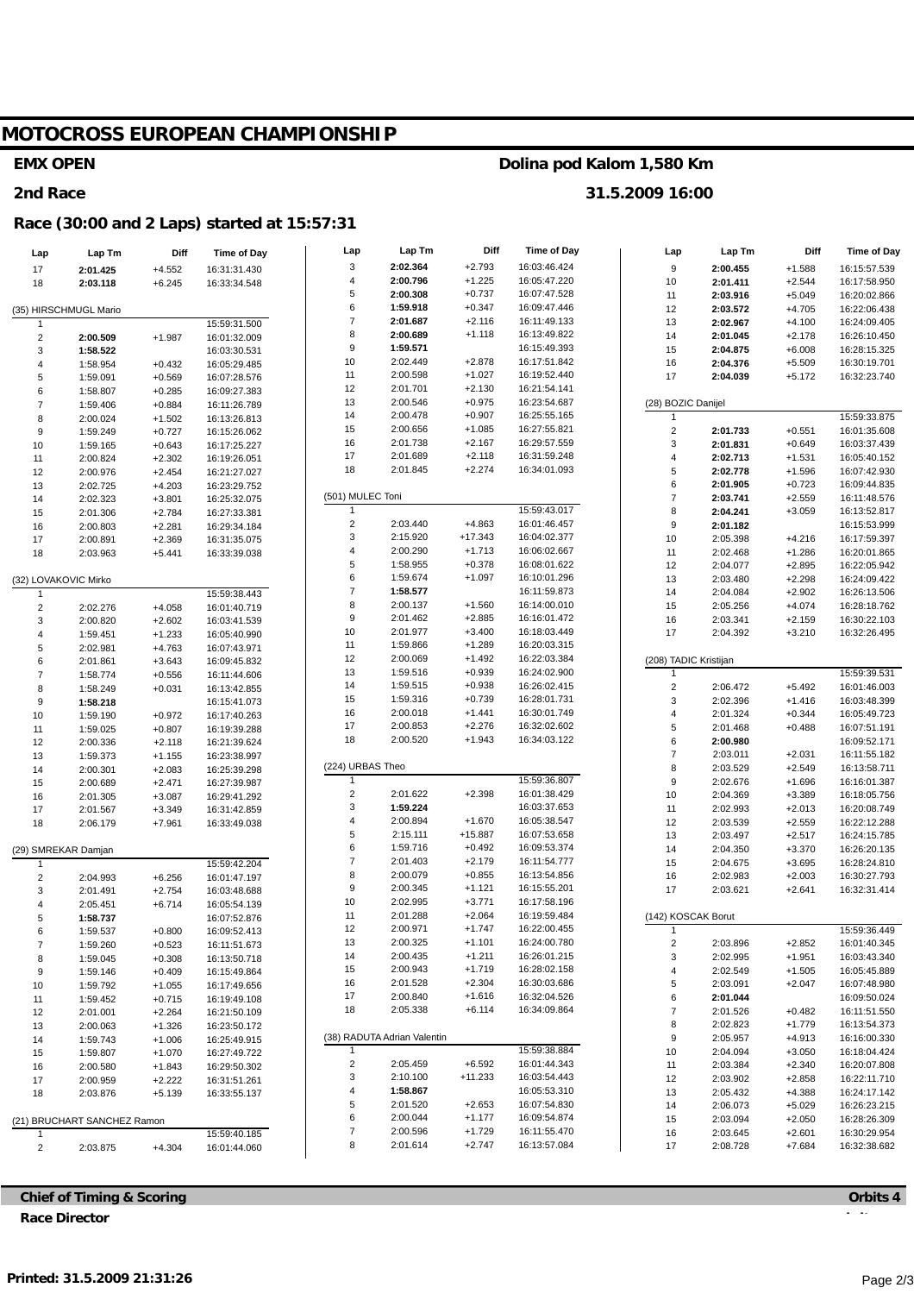# MOTOCROSS EUROPEAN CHAMPIONSHIP

#### **EMX OPEN**

#### 2nd Race

#### Race (30:00 and 2 Laps) started at 15:57:31

| Lap                  | Lap Tm                      | Diff                 | Time of Day                  | Lap                     | Lap Tm                      | Diff                  | <b>Time of Day</b>           | Lap              | Lap Tm                | Diff                 | <b>Time of Day</b>           |
|----------------------|-----------------------------|----------------------|------------------------------|-------------------------|-----------------------------|-----------------------|------------------------------|------------------|-----------------------|----------------------|------------------------------|
| 17                   | 2:01.425                    | $+4.552$             | 16:31:31.430                 | 3                       | 2:02.364                    | $+2.793$              | 16:03:46.424                 | $\boldsymbol{9}$ | 2:00.455              | $+1.588$             | 16:15:57.539                 |
| 18                   | 2:03.118                    | $+6.245$             | 16:33:34.548                 | 4                       | 2:00.796                    | $+1.225$              | 16:05:47.220                 | 10               | 2:01.411              | $+2.544$             | 16:17:58.950                 |
|                      |                             |                      |                              | 5                       | 2:00.308                    | $+0.737$              | 16:07:47.528                 | 11               | 2:03.916              | $+5.049$             | 16:20:02.866                 |
|                      | (35) HIRSCHMUGL Mario       |                      |                              | 6                       | 1:59.918                    | $+0.347$              | 16:09:47.446                 | 12               | 2:03.572              | $+4.705$             | 16:22:06.438                 |
| -1                   |                             |                      | 15:59:31.500                 | $\overline{\mathbf{7}}$ | 2:01.687                    | $+2.116$              | 16:11:49.133                 | 13               | 2:02.967              | $+4.100$             | 16:24:09.405                 |
| $\sqrt{2}$           | 2:00.509                    | $+1.987$             | 16:01:32.009                 | 8                       | 2:00.689                    | $+1.118$              | 16:13:49.822                 | 14               | 2:01.045              | $+2.178$             | 16:26:10.450                 |
| 3                    | 1:58.522                    |                      | 16:03:30.531                 | 9                       | 1:59.571                    |                       | 16:15:49.393                 | 15               | 2:04.875              | $+6.008$             | 16:28:15.325                 |
| 4                    | 1:58.954                    | $+0.432$             | 16:05:29.485                 | 10                      | 2:02.449                    | $+2.878$              | 16:17:51.842                 | 16               | 2:04.376              | $+5.509$             | 16:30:19.701                 |
| 5                    | 1:59.091                    | $+0.569$             | 16:07:28.576                 | 11                      | 2:00.598                    | $+1.027$              | 16:19:52.440                 | 17               | 2:04.039              | $+5.172$             | 16:32:23.740                 |
| 6                    | 1:58.807                    | $+0.285$             | 16:09:27.383                 | 12                      | 2:01.701                    | $+2.130$              | 16:21:54.141                 |                  |                       |                      |                              |
| $\boldsymbol{7}$     | 1:59.406                    | $+0.884$             | 16:11:26.789                 | 13                      | 2:00.546                    | $+0.975$              | 16:23:54.687                 |                  | (28) BOZIC Danijel    |                      |                              |
| 8                    | 2:00.024                    | $+1.502$             | 16:13:26.813                 | 14                      | 2:00.478                    | $+0.907$              | 16:25:55.165                 | 1                |                       |                      | 15:59:33.875                 |
| 9                    | 1:59.249                    | $+0.727$             | 16:15:26.062                 | 15                      | 2:00.656                    | $+1.085$<br>$+2.167$  | 16:27:55.821                 | $\overline{c}$   | 2:01.733              | $+0.551$             | 16:01:35.608                 |
| 10                   | 1:59.165                    | $+0.643$             | 16:17:25.227                 | 16<br>17                | 2:01.738<br>2:01.689        | $+2.118$              | 16:29:57.559<br>16:31:59.248 | 3                | 2:01.831              | $+0.649$             | 16:03:37.439                 |
| 11                   | 2:00.824                    | $+2.302$             | 16:19:26.051                 | 18                      | 2:01.845                    | $+2.274$              | 16:34:01.093                 | $\overline{4}$   | 2:02.713              | $+1.531$             | 16:05:40.152                 |
| 12                   | 2:00.976                    | $+2.454$             | 16:21:27.027                 |                         |                             |                       |                              | 5<br>6           | 2:02.778<br>2:01.905  | $+1.596$<br>$+0.723$ | 16:07:42.930                 |
| 13                   | 2:02.725                    | $+4.203$             | 16:23:29.752                 | (501) MULEC Toni        |                             |                       |                              | $\overline{7}$   | 2:03.741              | $+2.559$             | 16:09:44.835<br>16:11:48.576 |
| 14                   | 2:02.323                    | $+3.801$             | 16:25:32.075                 | 1                       |                             |                       | 15:59:43.017                 | 8                | 2:04.241              | $+3.059$             | 16:13:52.817                 |
| 15                   | 2:01.306<br>2:00.803        | $+2.784$             | 16:27:33.381                 | $\mathbf 2$             | 2:03.440                    | $+4.863$              | 16:01:46.457                 | 9                | 2:01.182              |                      | 16:15:53.999                 |
| 16<br>17             | 2:00.891                    | $+2.281$<br>$+2.369$ | 16:29:34.184<br>16:31:35.075 | 3                       | 2:15.920                    | $+17.343$             | 16:04:02.377                 | 10               | 2:05.398              | $+4.216$             | 16:17:59.397                 |
| 18                   | 2:03.963                    | $+5.441$             | 16:33:39.038                 | 4                       | 2:00.290                    | $+1.713$              | 16:06:02.667                 | 11               | 2:02.468              | $+1.286$             | 16:20:01.865                 |
|                      |                             |                      |                              | 5                       | 1:58.955                    | $+0.378$              | 16:08:01.622                 | 12               | 2:04.077              | $+2.895$             | 16:22:05.942                 |
| (32) LOVAKOVIC Mirko |                             |                      |                              | 6                       | 1:59.674                    | $+1.097$              | 16:10:01.296                 | 13               | 2:03.480              | $+2.298$             | 16:24:09.422                 |
| $\overline{1}$       |                             |                      | 15:59:38.443                 | $\overline{7}$          | 1:58.577                    |                       | 16:11:59.873                 | 14               | 2:04.084              | $+2.902$             | 16:26:13.506                 |
| $\overline{c}$       | 2:02.276                    | $+4.058$             | 16:01:40.719                 | 8                       | 2:00.137                    | $+1.560$              | 16:14:00.010                 | 15               | 2:05.256              | $+4.074$             | 16:28:18.762                 |
| 3                    | 2:00.820                    | $+2.602$             | 16:03:41.539                 | 9                       | 2:01.462                    | $+2.885$              | 16:16:01.472                 | 16               | 2:03.341              | $+2.159$             | 16:30:22.103                 |
| 4                    | 1:59.451                    | $+1.233$             | 16:05:40.990                 | 10                      | 2:01.977                    | $+3.400$              | 16:18:03.449                 | 17               | 2:04.392              | $+3.210$             | 16:32:26.495                 |
| 5                    | 2:02.981                    | $+4.763$             | 16:07:43.971                 | 11                      | 1:59.866                    | $+1.289$              | 16:20:03.315                 |                  |                       |                      |                              |
| 6                    | 2:01.861                    | $+3.643$             | 16:09:45.832                 | 12                      | 2:00.069                    | $+1.492$              | 16:22:03.384                 |                  | (208) TADIC Kristijan |                      |                              |
| $\overline{7}$       | 1:58.774                    | $+0.556$             | 16:11:44.606                 | 13                      | 1:59.516                    | $+0.939$              | 16:24:02.900                 | 1                |                       |                      | 15:59:39.531                 |
| 8                    | 1:58.249                    | $+0.031$             | 16:13:42.855                 | 14                      | 1:59.515                    | $+0.938$              | 16:26:02.415                 | $\sqrt{2}$       | 2:06.472              | $+5.492$             | 16:01:46.003                 |
| 9                    | 1:58.218                    |                      | 16:15:41.073                 | 15                      | 1:59.316                    | $+0.739$              | 16:28:01.731                 | 3                | 2:02.396              | $+1.416$             | 16:03:48.399                 |
| 10                   | 1:59.190                    | $+0.972$             | 16:17:40.263                 | 16                      | 2:00.018                    | $+1.441$              | 16:30:01.749                 | $\overline{4}$   | 2:01.324              | $+0.344$             | 16:05:49.723                 |
| 11                   | 1:59.025                    | $+0.807$             | 16:19:39.288                 | 17                      | 2:00.853                    | $+2.276$              | 16:32:02.602                 | 5                | 2:01.468              | $+0.488$             | 16:07:51.191                 |
| 12                   | 2:00.336                    | $+2.118$             | 16:21:39.624                 | 18                      | 2:00.520                    | $+1.943$              | 16:34:03.122                 | 6                | 2:00.980              |                      | 16:09:52.171                 |
| 13                   | 1:59.373                    | $+1.155$             | 16:23:38.997                 |                         |                             |                       |                              | $\overline{7}$   | 2:03.011              | $+2.031$             | 16:11:55.182                 |
| 14                   | 2:00.301                    | $+2.083$             | 16:25:39.298                 | (224) URBAS Theo        |                             |                       |                              | 8                | 2:03.529              | $+2.549$             | 16:13:58.711                 |
| 15                   | 2:00.689                    | $+2.471$             | 16:27:39.987                 | 1                       |                             |                       | 15:59:36.807                 | 9                | 2:02.676              | $+1.696$             | 16:16:01.387                 |
| 16                   | 2:01.305                    | $+3.087$             | 16:29:41.292                 | $\mathbf 2$             | 2:01.622                    | $+2.398$              | 16:01:38.429                 | 10               | 2:04.369              | $+3.389$             | 16:18:05.756                 |
| 17                   | 2:01.567                    | $+3.349$             | 16:31:42.859                 | 3                       | 1:59.224                    |                       | 16:03:37.653                 | 11               | 2:02.993              | $+2.013$             | 16:20:08.749                 |
| 18                   | 2:06.179                    | $+7.961$             | 16:33:49.038                 | 4<br>5                  | 2:00.894<br>2:15.111        | $+1.670$<br>$+15.887$ | 16:05:38.547<br>16:07:53.658 | 12               | 2:03.539              | $+2.559$             | 16:22:12.288                 |
|                      |                             |                      |                              | 6                       | 1:59.716                    | $+0.492$              | 16:09:53.374                 | 13               | 2:03.497              | $+2.517$             | 16:24:15.785                 |
| (29) SMREKAR Damjan  |                             |                      |                              | $\overline{\mathbf{7}}$ | 2:01.403                    | $+2.179$              | 16:11:54.777                 | 14<br>15         | 2:04.350<br>2:04.675  | $+3.370$<br>$+3.695$ | 16:26:20.135<br>16:28:24.810 |
| -1                   |                             |                      | 15:59:42.204<br>16:01:47.197 | 8                       | 2:00.079                    | $+0.855$              | 16:13:54.856                 | 16               | 2:02.983              | $+2.003$             | 16:30:27.793                 |
| $\overline{2}$<br>3  | 2:04.993<br>2:01.491        | $+6.256$<br>$+2.754$ | 16:03:48.688                 | 9                       | 2:00.345                    | $+1.121$              | 16:15:55.201                 | 17               | 2:03.621              | $+2.641$             | 16:32:31.414                 |
| 4                    | 2:05.451                    | $+6.714$             | 16:05:54.139                 | 10                      | 2:02.995                    | $+3.771$              | 16:17:58.196                 |                  |                       |                      |                              |
| 5                    | 1:58.737                    |                      | 16:07:52.876                 | 11                      | 2:01.288                    | $+2.064$              | 16:19:59.484                 |                  | (142) KOSCAK Borut    |                      |                              |
|                      | 1:59.537                    | $+0.800$             | 16:09:52.413                 | 12                      | 2:00.971                    | $+1.747$              | 16:22:00.455                 |                  |                       |                      | 15:59:36.449                 |
| 7                    | 1:59.260                    | $+0.523$             | 16:11:51.673                 | 13                      | 2:00.325                    | $+1.101$              | 16:24:00.780                 | $\overline{2}$   | 2:03.896              | $+2.852$             | 16:01:40.345                 |
| 8                    | 1:59.045                    | $+0.308$             | 16:13:50.718                 | 14                      | 2:00.435                    | $+1.211$              | 16:26:01.215                 | 3                | 2:02.995              | $+1.951$             | 16:03:43.340                 |
| 9                    | 1:59.146                    | $+0.409$             | 16:15:49.864                 | 15                      | 2:00.943                    | $+1.719$              | 16:28:02.158                 | 4                | 2:02.549              | $+1.505$             | 16:05:45.889                 |
| 10                   | 1:59.792                    | $+1.055$             | 16:17:49.656                 | 16                      | 2:01.528                    | $+2.304$              | 16:30:03.686                 | 5                | 2:03.091              | $+2.047$             | 16:07:48.980                 |
| 11                   | 1:59.452                    | $+0.715$             | 16:19:49.108                 | 17                      | 2:00.840                    | $+1.616$              | 16:32:04.526                 | 6                | 2:01.044              |                      | 16:09:50.024                 |
| 12                   | 2:01.001                    | $+2.264$             | 16:21:50.109                 | 18                      | 2:05.338                    | $+6.114$              | 16:34:09.864                 | $\overline{7}$   | 2:01.526              | $+0.482$             | 16:11:51.550                 |
| 13                   | 2:00.063                    | $+1.326$             | 16:23:50.172                 |                         |                             |                       |                              | 8                | 2:02.823              | $+1.779$             | 16:13:54.373                 |
| 14                   | 1:59.743                    | $+1.006$             | 16:25:49.915                 |                         | (38) RADUTA Adrian Valentin |                       |                              | 9                | 2:05.957              | $+4.913$             | 16:16:00.330                 |
| 15                   | 1:59.807                    | $+1.070$             | 16:27:49.722                 |                         |                             |                       | 15:59:38.884                 | 10               | 2:04.094              | $+3.050$             | 16:18:04.424                 |
| 16                   | 2:00.580                    | $+1.843$             | 16:29:50.302                 | 2                       | 2:05.459                    | $+6.592$              | 16:01:44.343                 | 11               | 2:03.384              | $+2.340$             | 16:20:07.808                 |
| 17                   | 2:00.959                    | $+2.222$             | 16:31:51.261                 | 3                       | 2:10.100                    | $+11.233$             | 16:03:54.443                 | 12               | 2:03.902              | $+2.858$             | 16:22:11.710                 |
| 18                   | 2:03.876                    | $+5.139$             | 16:33:55.137                 | 4                       | 1:58.867                    |                       | 16:05:53.310                 | 13               | 2:05.432              | $+4.388$             | 16:24:17.142                 |
|                      |                             |                      |                              | 5                       | 2:01.520                    | $+2.653$              | 16:07:54.830                 | 14               | 2:06.073              | $+5.029$             | 16:26:23.215                 |
|                      | (21) BRUCHART SANCHEZ Ramon |                      |                              | 6                       | 2:00.044                    | $+1.177$              | 16:09:54.874                 | 15               | 2:03.094              | $+2.050$             | 16:28:26.309                 |
| $\mathbf{1}$         |                             |                      | 15:59:40.185                 | $\boldsymbol{7}$        | 2:00.596                    | $+1.729$              | 16:11:55.470                 | 16               | 2:03.645              | $+2.601$             | 16:30:29.954                 |
| $\overline{c}$       | 2:03.875                    | $+4.304$             | 16:01:44.060                 | 8                       | 2:01.614                    | $+2.747$              | 16:13:57.084                 | 17               | 2:08.728              | $+7.684$             | 16:32:38.682                 |

Dolina pod Kalom 1,580 Km

31.5.2009 16:00

**Chief of Timing & Scoring Race Director** 

Orbits 4